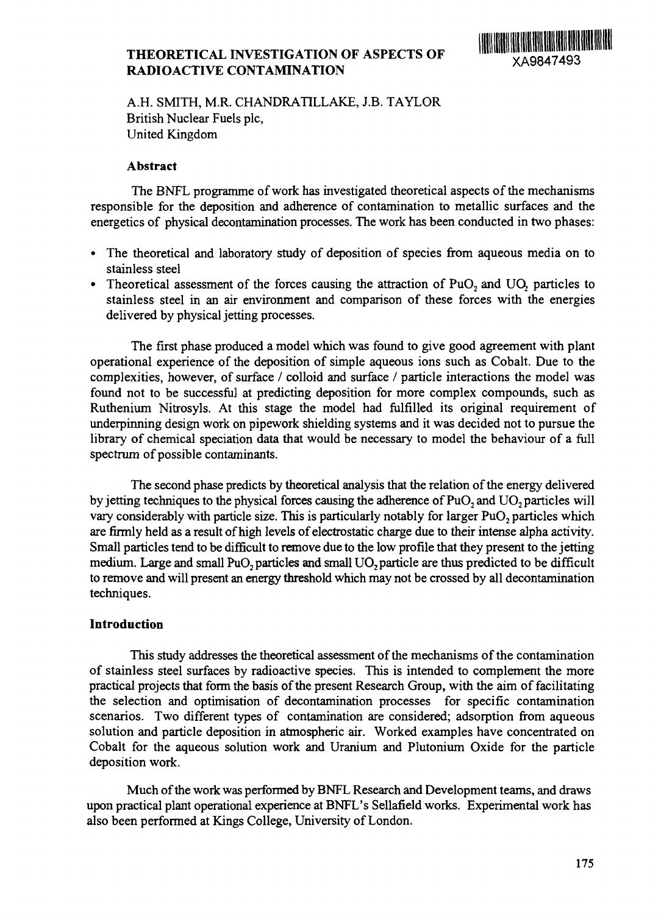## **THEORETICAL INVESTIGATION OF ASPECTS OF RADIOACTIVE CONTAMINATION**

A.H. SMITH, M.R. CHANDRATILLAKE, J.B. TAYLOR British Nuclear Fuels pic, United Kingdom

#### **Abstract**

The BNFL programme of work has investigated theoretical aspects of the mechanisms responsible for the deposition and adherence of contamination to metallic surfaces and the energetics of physical decontamination processes. The work has been conducted in two phases:

- The theoretical and laboratory study of deposition of species from aqueous media on to stainless steel
- Theoretical assessment of the forces causing the attraction of PuO<sub>2</sub> and UO<sub>2</sub> particles to stainless steel in an air environment and comparison of these forces with the energies delivered by physical jetting processes.

The first phase produced a model which was found to give good agreement with plant operational experience of the deposition of simple aqueous ions such as Cobalt. Due to the complexities, however, of surface / colloid and surface / particle interactions the model was found not to be successful at predicting deposition for more complex compounds, such as Ruthenium Nitrosyls. At this stage the model had fulfilled its original requirement of underpinning design work on pipework shielding systems and it was decided not to pursue the library of chemical speciation data that would be necessary to model the behaviour of a full spectrum of possible contaminants.

The second phase predicts by theoretical analysis that the relation of the energy delivered by jetting techniques to the physical forces causing the adherence of PuO<sub>2</sub> and UO<sub>2</sub> particles will vary considerably with particle size. This is particularly notably for larger PuO<sub>2</sub> particles which are firmly held as a result of high levels of electrostatic charge due to their intense alpha activity. Small particles tend to be difficult to remove due to the low profile that they present to the jetting medium. Large and small PuO<sub>2</sub> particles and small UO<sub>2</sub> particle are thus predicted to be difficult to remove and will present an energy threshold which may not be crossed by all decontamination techniques.

### **Introduction**

This study addresses the theoretical assessment of the mechanisms of the contamination of stainless steel surfaces by radioactive species. This is intended to complement the more practical projects that form the basis of the present Research Group, with the aim of facilitating the selection and optimisation of decontamination processes for specific contamination scenarios. Two different types of contamination are considered; adsorption from aqueous solution and particle deposition in atmospheric air. Worked examples have concentrated on Cobalt for the aqueous solution work and Uranium and Plutonium Oxide for the particle deposition work.

Much of the work was performed by BNFL Research and Development teams, and draws upon practical plant operational experience at BNFL's Sellafield works. Experimental work has also been performed at Kings College, University of London.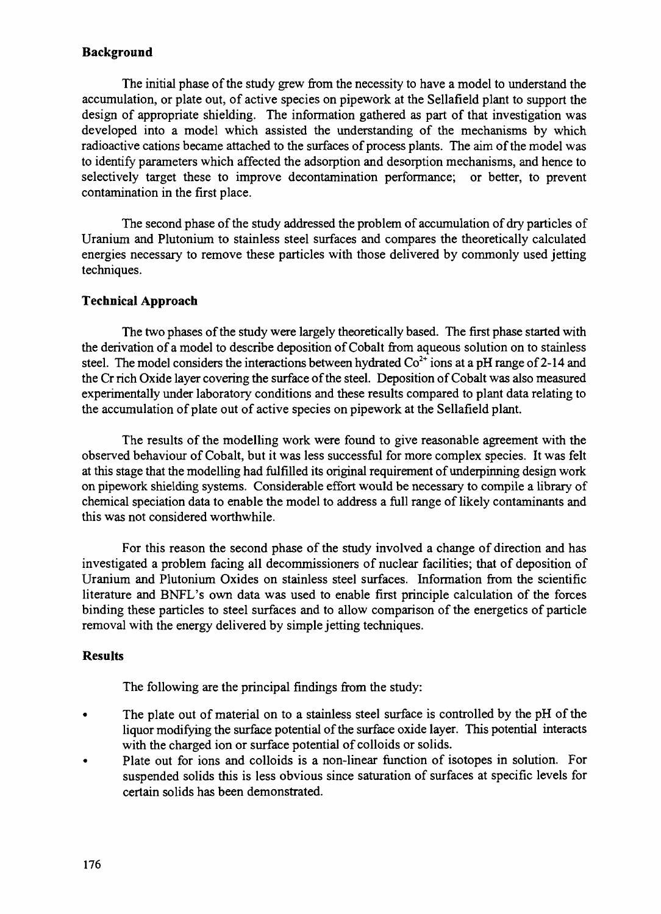### **Background**

The initial phase of the study grew from the necessity to have a model to understand the accumulation, or plate out, of active species on pipework at the Sellafield plant to support the design of appropriate shielding. The information gathered as part of that investigation was developed into a model which assisted the understanding of the mechanisms by which radioactive cations became attached to the surfaces of process plants. The aim of the model was to identify parameters which affected the adsorption and desorption mechanisms, and hence to selectively target these to improve decontamination performance; or better, to prevent contamination in the first place.

The second phase of the study addressed the problem of accumulation of dry particles of Uranium and Plutonium to stainless steel surfaces and compares the theoretically calculated energies necessary to remove these particles with those delivered by commonly used jetting techniques.

### **Technical Approach**

The two phases of the study were largely theoretically based. The first phase started with the derivation of a model to describe deposition of Cobalt from aqueous solution on to stainless steel. The model considers the interactions between hydrated  $\text{Co}^{2+}$  ions at a pH range of 2-14 and the Cr rich Oxide layer covering the surface of the steel. Deposition of Cobalt was also measured experimentally under laboratory conditions and these results compared to plant data relating to the accumulation of plate out of active species on pipework at the Sellafield plant.

The results of the modelling work were found to give reasonable agreement with the observed behaviour of Cobalt, but it was less successful for more complex species. It was felt at this stage that the modelling had fulfilled its original requirement of underpinning design work on pipework shielding systems. Considerable effort would be necessary to compile a library of chemical speciation data to enable the model to address a full range of likely contaminants and this was not considered worthwhile.

For this reason the second phase of the study involved a change of direction and has investigated a problem facing all decommissioners of nuclear facilities; that of deposition of Uranium and Plutonium Oxides on stainless steel surfaces. Information from the scientific literature and BNFL's own data was used to enable first principle calculation of the forces binding these particles to steel surfaces and to allow comparison of the energetics of particle removal with the energy delivered by simple jetting techniques.

### **Results**

The following are the principal findings from the study:

- The plate out of material on to a stainless steel surface is controlled by the pH of the liquor modifying the surface potential of the surface oxide layer. This potential interacts with the charged ion or surface potential of colloids or solids.
- Plate out for ions and colloids is a non-linear function of isotopes in solution. For suspended solids this is less obvious since saturation of surfaces at specific levels for certain solids has been demonstrated.